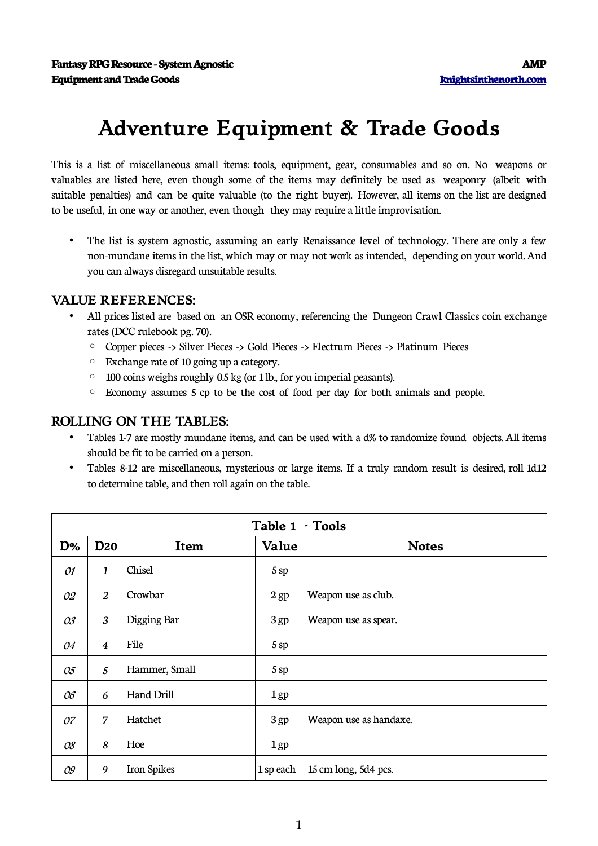## **Adventure Equipment & Trade Goods**

This is a list of miscellaneous small items: tools, equipment, gear, consumables and so on. No weapons or valuables are listed here, even though some of the items may definitely be used as weaponry (albeit with suitable penalties) and can be quite valuable (to the right buyer). However, all items on the list are designed to be useful, in one way or another, even though they may require a little improvisation.

• The list is system agnostic, assuming an early Renaissance level of technology. There are only a few non-mundane items in thelist, which may or may not work as intended, depending on your world. And you can always disregard unsuitableresults.

## **VALUE REFERENCES:**

- All prices listed are based on an OSR economy, referencing the Dungeon Crawl Classics coin exchange rates (DCC rulebook pg. 70).
	- Copper pieces -> Silver Pieces -> Gold Pieces -> Electrum Pieces -> Platinum Pieces
	- Exchangerate of 10 going up a category.
	- 100 coins weighs roughly 0.5 kg (or 1lb., for you imperial peasants).
	- Economy assumes 5 cp to be the cost of food per day for both animals and people.

## **ROLLING ON THE TABLES:**

- Tables 1-7 are mostly mundane items, and can be used with a d% to randomize found objects. All items should be fit to be carried on a person.
- Tables 8-12 are miscellaneous, mysterious or large items. If a truly random result is desired, roll 1d12 to determine table, and then roll again on the table.

|    | Table 1 · Tools      |               |                 |                        |  |  |
|----|----------------------|---------------|-----------------|------------------------|--|--|
| D% | <b>D20</b>           | Item          | Value           | <b>Notes</b>           |  |  |
| 01 | $\mathbf{1}$         | Chisel        | 5sp             |                        |  |  |
| 02 | $\boldsymbol{2}$     | Crowbar       | $2$ gp          | Weapon use as club.    |  |  |
| 03 | $\boldsymbol{\beta}$ | Digging Bar   | 3 gp            | Weapon use as spear.   |  |  |
| 04 | $\boldsymbol{4}$     | File          | 5sp             |                        |  |  |
| 05 | 5                    | Hammer, Small | 5sp             |                        |  |  |
| 06 | 6                    | Hand Drill    | 1 <sub>gp</sub> |                        |  |  |
| 07 | 7                    | Hatchet       | 3 gp            | Weapon use as handaxe. |  |  |
| 08 | 8                    | Hoe           | 1 <sub>gp</sub> |                        |  |  |
| 09 | 9                    | Iron Spikes   | 1 sp each       | 15 cm long, 5d4 pcs.   |  |  |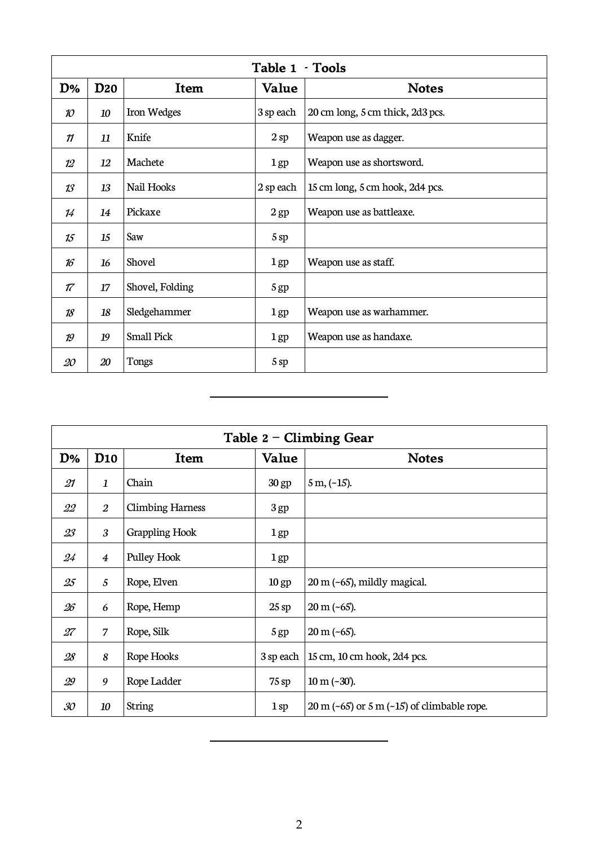|                 | Table 1 - Tools |                   |           |                                  |  |  |
|-----------------|-----------------|-------------------|-----------|----------------------------------|--|--|
| D%              | <b>D20</b>      | Item              | Value     | <b>Notes</b>                     |  |  |
| 10              | 10              | Iron Wedges       | 3 sp each | 20 cm long, 5 cm thick, 2d3 pcs. |  |  |
| 11              | 11              | Knife             | 2sp       | Weapon use as dagger.            |  |  |
| 12              | 12              | Machete           | $1$ gp    | Weapon use as shortsword.        |  |  |
| 13              | 13              | Nail Hooks        | 2 sp each | 15 cm long, 5 cm hook, 2d4 pcs.  |  |  |
| 14              | 14              | Pickaxe           | $2$ gp    | Weapon use as battleaxe.         |  |  |
| 15              | 15              | Saw               | 5sp       |                                  |  |  |
| 16 <sup>°</sup> | 16              | Shovel            | $1$ gp    | Weapon use as staff.             |  |  |
| 17              | 17              | Shovel, Folding   | 5 gp      |                                  |  |  |
| 18              | 18              | Sledgehammer      | $1$ gp    | Weapon use as warhammer.         |  |  |
| 19              | 19              | <b>Small Pick</b> | $1$ gp    | Weapon use as handaxe.           |  |  |
| 20              | 20              | Tongs             | 5 sp      |                                  |  |  |

 $\overline{a}$ 

|    | Table $2$ – Climbing Gear |                         |                  |                                                                  |  |  |
|----|---------------------------|-------------------------|------------------|------------------------------------------------------------------|--|--|
| D% | D <sub>10</sub>           | Item                    | Value            | <b>Notes</b>                                                     |  |  |
| 21 | 1                         | Chain                   | 30 <sub>gp</sub> | $5 m, (-15)$ .                                                   |  |  |
| 22 | $\overline{2}$            | <b>Climbing Harness</b> | 3 <sub>gp</sub>  |                                                                  |  |  |
| 23 | 3                         | Grappling Hook          | $1$ gp           |                                                                  |  |  |
| 24 | $\overline{4}$            | Pulley Hook             | $1$ gp           |                                                                  |  |  |
| 25 | 5                         | Rope, Elven             | 10 <sub>gp</sub> | $20 \text{ m}$ (~65), mildly magical.                            |  |  |
| 26 | 6                         | Rope, Hemp              | $25$ sp          | $20 \text{ m}$ (~65).                                            |  |  |
| 27 | 7                         | Rope, Silk              | 5 <sub>gp</sub>  | $20 \text{ m}$ (~65).                                            |  |  |
| 28 | 8                         | Rope Hooks              | 3 sp each        | 15 cm, 10 cm hook, 2d4 pcs.                                      |  |  |
| 29 | 9                         | Rope Ladder             | $75$ sp          | $10 \text{ m} (-30).$                                            |  |  |
| 30 | 10                        | <b>String</b>           | 1sp              | $20 \text{ m } (-65)$ or $5 \text{ m } (-15)$ of climbable rope. |  |  |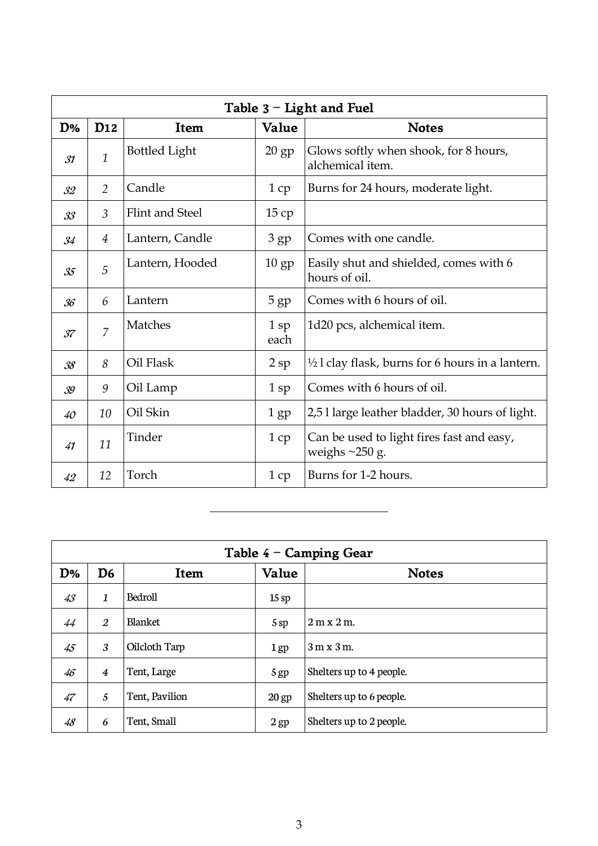|    | Table $3$ – Light and Fuel |                        |                 |                                                                      |  |  |
|----|----------------------------|------------------------|-----------------|----------------------------------------------------------------------|--|--|
| D% | D <sub>12</sub>            | Item                   | Value           | <b>Notes</b>                                                         |  |  |
| 31 | $\mathbf{1}$               | <b>Bottled Light</b>   | $20$ gp         | Glows softly when shook, for 8 hours,<br>alchemical item.            |  |  |
| 32 | $\overline{2}$             | Candle                 | 1cp             | Burns for 24 hours, moderate light.                                  |  |  |
| 33 | $\mathfrak{Z}$             | <b>Flint and Steel</b> | 15cp            |                                                                      |  |  |
| 34 | 4                          | Lantern, Candle        | 3 <sub>gp</sub> | Comes with one candle.                                               |  |  |
| 35 | 5                          | Lantern, Hooded        | $10$ gp         | Easily shut and shielded, comes with 6<br>hours of oil.              |  |  |
| 36 | 6                          | Lantern                | 5 <sub>gp</sub> | Comes with 6 hours of oil.                                           |  |  |
| 37 | $\overline{7}$             | Matches                | $1$ sp<br>each  | 1d20 pcs, alchemical item.                                           |  |  |
| 38 | 8                          | Oil Flask              | $2$ sp          | $\frac{1}{2}$ l clay flask, burns for 6 hours in a lantern.          |  |  |
| 39 | 9                          | Oil Lamp               | $1$ sp          | Comes with 6 hours of oil.                                           |  |  |
| 40 | 10                         | Oil Skin               | $1$ gp          | 2,51 large leather bladder, 30 hours of light.                       |  |  |
| 41 | 11                         | Tinder                 | 1cp             | Can be used to light fires fast and easy,<br>weighs $\approx$ 250 g. |  |  |
| 42 | 12                         | Torch                  | 1cp             | Burns for 1-2 hours.                                                 |  |  |

| Table $4$ – Camping Gear |                |                |                  |                          |  |
|--------------------------|----------------|----------------|------------------|--------------------------|--|
| D%                       | D <sub>6</sub> | Item           | Value            | <b>Notes</b>             |  |
| 43                       | 1              | Bedroll        | 15sp             |                          |  |
| 44                       | $\overline{2}$ | <b>Blanket</b> | 5sp              | $2m \times 2m$ .         |  |
| 45                       | 3              | Oilcloth Tarp  | $1$ gp           | $3m \times 3m$ .         |  |
| 46                       | $\overline{4}$ | Tent, Large    | 5 <sub>gp</sub>  | Shelters up to 4 people. |  |
| 47                       | 5              | Tent, Pavilion | 20 <sub>gp</sub> | Shelters up to 6 people. |  |
| 48                       | 6              | Tent, Small    | $2$ gp           | Shelters up to 2 people. |  |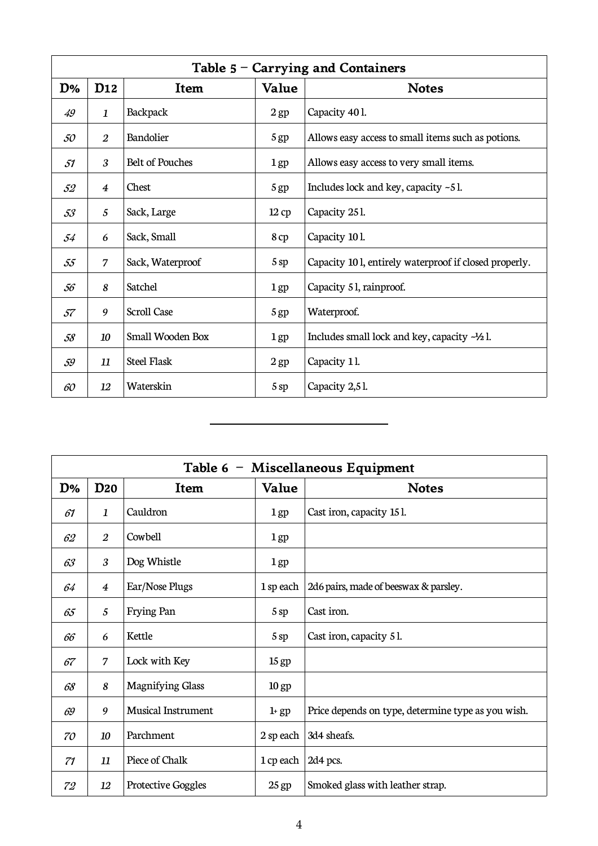|    | Table $5 - Carrying$ and Containers |                        |                 |                                                         |  |  |
|----|-------------------------------------|------------------------|-----------------|---------------------------------------------------------|--|--|
| D% | D <sub>12</sub>                     | Item                   | Value           | <b>Notes</b>                                            |  |  |
| 49 | $\mathbf{1}$                        | <b>Backpack</b>        | 2 <sub>gp</sub> | Capacity 401.                                           |  |  |
| 50 | $\overline{2}$                      | Bandolier              | 5 <sub>gp</sub> | Allows easy access to small items such as potions.      |  |  |
| 51 | 3                                   | <b>Belt of Pouches</b> | $1$ gp          | Allows easy access to very small items.                 |  |  |
| 52 | $\overline{4}$                      | Chest                  | 5 <sub>gp</sub> | Includes lock and key, capacity $-5$ l.                 |  |  |
| 53 | 5                                   | Sack, Large            | 12cp            | Capacity 251.                                           |  |  |
| 54 | 6                                   | Sack, Small            | 8cp             | Capacity 101.                                           |  |  |
| 55 | 7                                   | Sack, Waterproof       | 5sp             | Capacity 101, entirely waterproof if closed properly.   |  |  |
| 56 | 8                                   | Satchel                | $1$ gp          | Capacity 51, rainproof.                                 |  |  |
| 57 | 9                                   | <b>Scroll Case</b>     | 5 <sub>gp</sub> | Waterproof.                                             |  |  |
| 58 | 10                                  | Small Wooden Box       | 1gp             | Includes small lock and key, capacity $-\frac{1}{2}$ l. |  |  |
| 59 | 11                                  | <b>Steel Flask</b>     | $2$ gp          | Capacity 11.                                            |  |  |
| 60 | 12                                  | Waterskin              | 5sp             | Capacity 2,51.                                          |  |  |

 $\overline{a}$ 

|    | Table 6 - Miscellaneous Equipment |                           |                  |                                                    |  |  |
|----|-----------------------------------|---------------------------|------------------|----------------------------------------------------|--|--|
| D% | <b>D20</b>                        | Item                      | Value            | <b>Notes</b>                                       |  |  |
| 61 | 1                                 | Cauldron                  | $1$ gp           | Cast iron, capacity 15 l.                          |  |  |
| 62 | $\overline{2}$                    | Cowbell                   | 1gp              |                                                    |  |  |
| 63 | 3                                 | Dog Whistle               | $1$ gp           |                                                    |  |  |
| 64 | $\boldsymbol{4}$                  | Ear/Nose Plugs            | 1 sp each        | 2d6 pairs, made of beeswax & parsley.              |  |  |
| 65 | 5                                 | Frying Pan                | 5sp              | Cast iron.                                         |  |  |
| 66 | 6                                 | Kettle                    | 5 sp             | Cast iron, capacity 51.                            |  |  |
| 67 | 7                                 | Lock with Key             | 15 <sub>gp</sub> |                                                    |  |  |
| 68 | 8                                 | <b>Magnifying Glass</b>   | 10 <sub>gp</sub> |                                                    |  |  |
| 69 | 9                                 | <b>Musical Instrument</b> | $1+gp$           | Price depends on type, determine type as you wish. |  |  |
| 70 | 10                                | Parchment                 | 2 sp each        | 3d4 sheafs.                                        |  |  |
| 71 | 11                                | Piece of Chalk            | 1 cp each        | 2d4 pcs.                                           |  |  |
| 72 | 12                                | <b>Protective Goggles</b> | $25$ gp          | Smoked glass with leather strap.                   |  |  |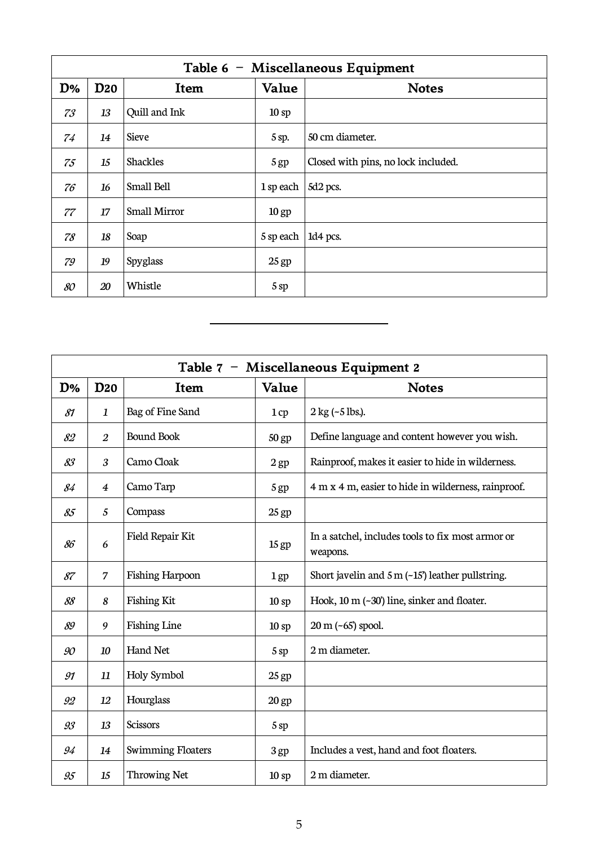|    | Table 6 - Miscellaneous Equipment |                     |                 |                                     |  |
|----|-----------------------------------|---------------------|-----------------|-------------------------------------|--|
| D% | <b>D20</b>                        | Item                | Value           | <b>Notes</b>                        |  |
| 73 | 13                                | Quill and Ink       | 10sp            |                                     |  |
| 74 | 14                                | <b>Sieve</b>        | 5 sp.           | 50 cm diameter.                     |  |
| 75 | 15                                | <b>Shackles</b>     | 5 <sub>gp</sub> | Closed with pins, no lock included. |  |
| 76 | 16                                | Small Bell          | 1 sp each       | 5d2 pcs.                            |  |
| 77 | 17                                | <b>Small Mirror</b> | $10$ gp         |                                     |  |
| 78 | 18                                | Soap                | 5 sp each       | 1d4 pcs.                            |  |
| 79 | 19                                | Spyglass            | $25$ gp         |                                     |  |
| 80 | 20                                | Whistle             | 5sp             |                                     |  |

|    | Table 7 - Miscellaneous Equipment 2 |                          |                  |                                                               |  |  |
|----|-------------------------------------|--------------------------|------------------|---------------------------------------------------------------|--|--|
| D% | <b>D20</b>                          | Item                     | Value            | <b>Notes</b>                                                  |  |  |
| 81 | 1                                   | Bag of Fine Sand         | 1cp              | $2 \text{ kg}$ (~5 lbs.).                                     |  |  |
| 82 | $\overline{2}$                      | <b>Bound Book</b>        | $50$ gp          | Define language and content however you wish.                 |  |  |
| 83 | 3                                   | Camo Cloak               | 2 <sub>gp</sub>  | Rainproof, makes it easier to hide in wilderness.             |  |  |
| 84 | $\overline{\mathbf{4}}$             | Camo Tarp                | 5 gp             | 4 m x 4 m, easier to hide in wilderness, rainproof.           |  |  |
| 85 | 5                                   | Compass                  | 25 gp            |                                                               |  |  |
| 86 | 6                                   | Field Repair Kit         | 15 <sub>gp</sub> | In a satchel, includes tools to fix most armor or<br>weapons. |  |  |
| 87 | 7                                   | <b>Fishing Harpoon</b>   | 1 <sub>gp</sub>  | Short javelin and $5 \text{ m}$ (~15') leather pullstring.    |  |  |
| 88 | 8                                   | <b>Fishing Kit</b>       | 10sp             | Hook, 10 m (~30') line, sinker and floater.                   |  |  |
| 89 | 9                                   | <b>Fishing Line</b>      | 10sp             | $20 \text{ m}$ (~65) spool.                                   |  |  |
| 90 | 10                                  | <b>Hand Net</b>          | 5 sp             | 2 m diameter.                                                 |  |  |
| 91 | 11                                  | Holy Symbol              | $25$ gp          |                                                               |  |  |
| 92 | 12                                  | Hourglass                | $20$ gp          |                                                               |  |  |
| 93 | 13                                  | <b>Scissors</b>          | 5sp              |                                                               |  |  |
| 94 | 14                                  | <b>Swimming Floaters</b> | 3 gp             | Includes a vest, hand and foot floaters.                      |  |  |
| 95 | 15                                  | <b>Throwing Net</b>      | 10 <sub>sp</sub> | 2 m diameter.                                                 |  |  |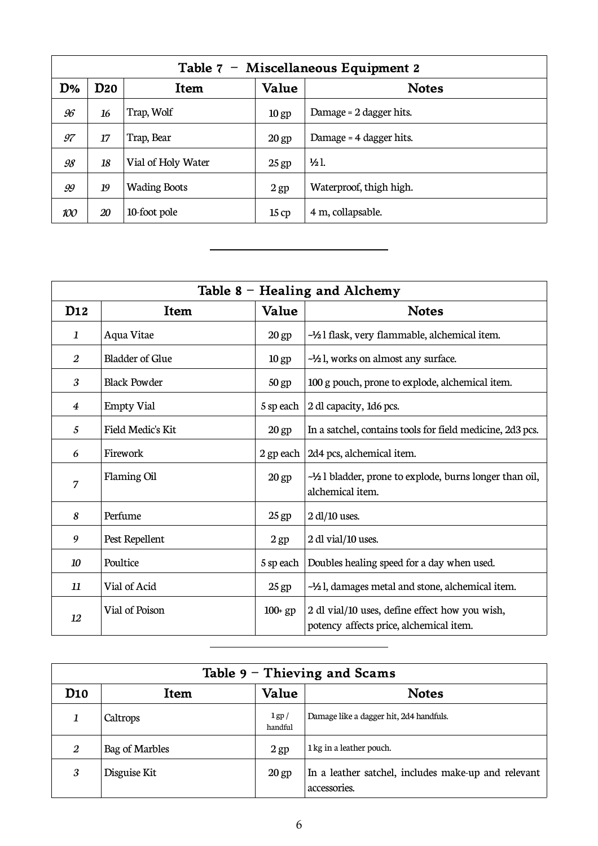| Table 7 - Miscellaneous Equipment 2 |            |                     |                  |                         |  |
|-------------------------------------|------------|---------------------|------------------|-------------------------|--|
| D%                                  | <b>D20</b> | Item                | Value            | <b>Notes</b>            |  |
| 96                                  | 16         | Trap, Wolf          | 10 <sub>gp</sub> | Damage = 2 dagger hits. |  |
| 97                                  | 17         | Trap, Bear          | $20$ gp          | Damage = 4 dagger hits. |  |
| 98                                  | 18         | Vial of Holy Water  | $25$ gp          | $\frac{1}{2}$ .         |  |
| 99                                  | 19         | <b>Wading Boots</b> | $2$ gp           | Waterproof, thigh high. |  |
| 100                                 | 20         | 10-foot pole        | 15cp             | 4 m, collapsable.       |  |

|                 | Table $8$ – Healing and Alchemy |                  |                                                                                           |  |  |
|-----------------|---------------------------------|------------------|-------------------------------------------------------------------------------------------|--|--|
| D <sub>12</sub> | Item                            | Value            | <b>Notes</b>                                                                              |  |  |
| 1               | Aqua Vitae                      | 20 <sub>gp</sub> | -1/2 l flask, very flammable, alchemical item.                                            |  |  |
| 2               | <b>Bladder of Glue</b>          | 10 <sub>gp</sub> | -1/2 l, works on almost any surface.                                                      |  |  |
| 3               | <b>Black Powder</b>             | 50 gp            | 100 g pouch, prone to explode, alchemical item.                                           |  |  |
| $\overline{4}$  | <b>Empty Vial</b>               | 5 sp each        | 2 dl capacity, 1d6 pcs.                                                                   |  |  |
| 5               | Field Medic's Kit               | $20$ gp          | In a satchel, contains tools for field medicine, 2d3 pcs.                                 |  |  |
| 6               | Firework                        | 2 gp each        | 2d4 pcs, alchemical item.                                                                 |  |  |
| 7               | Flaming Oil                     | 20 <sub>gp</sub> | $-\frac{1}{2}$ l bladder, prone to explode, burns longer than oil,<br>alchemical item.    |  |  |
| 8               | Perfume                         | $25$ gp          | $2 \, \text{dl}/10$ uses.                                                                 |  |  |
| 9               | Pest Repellent                  | 2 <sub>gp</sub>  | 2 dl vial/10 uses.                                                                        |  |  |
| 10              | Poultice                        | 5 sp each        | Doubles healing speed for a day when used.                                                |  |  |
| 11              | Vial of Acid                    | $25$ gp          | -1/2 l, damages metal and stone, alchemical item.                                         |  |  |
| 12              | Vial of Poison                  | $100+gp$         | 2 dl vial/10 uses, define effect how you wish,<br>potency affects price, alchemical item. |  |  |
|                 |                                 |                  |                                                                                           |  |  |

| Table $9$ – Thieving and Scams |                |                       |                                                                     |  |
|--------------------------------|----------------|-----------------------|---------------------------------------------------------------------|--|
| D <sub>10</sub>                | Item           | Value                 | <b>Notes</b>                                                        |  |
|                                | Caltrops       | $1$ gp $/$<br>handful | Damage like a dagger hit, 2d4 handfuls.                             |  |
| 2                              | Bag of Marbles | $2$ gp                | 1 kg in a leather pouch.                                            |  |
| 3                              | Disguise Kit   | $20$ gp               | In a leather satchel, includes make-up and relevant<br>accessories. |  |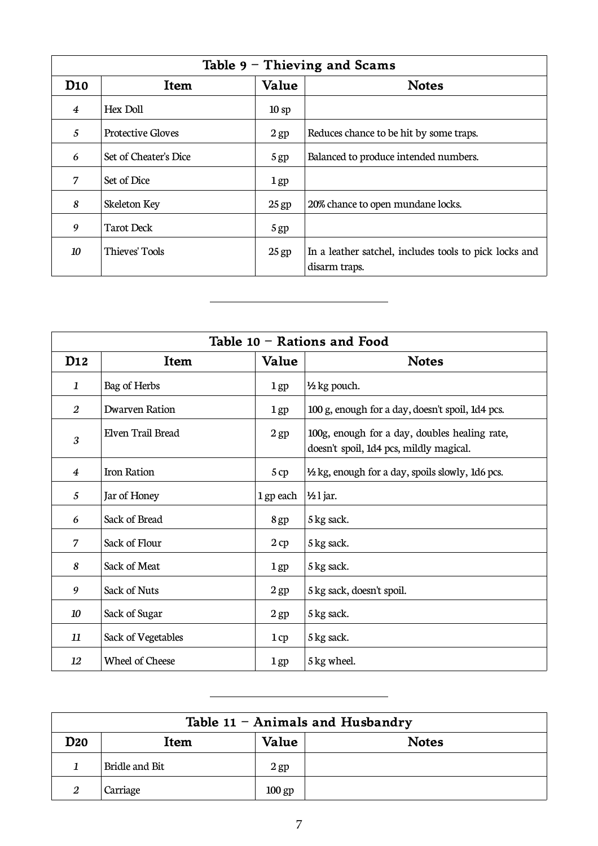| Table $9$ – Thieving and Scams |                          |                 |                                                                         |
|--------------------------------|--------------------------|-----------------|-------------------------------------------------------------------------|
| D10                            | <b>Item</b>              | Value           | <b>Notes</b>                                                            |
| $\overline{4}$                 | Hex Doll                 | 10sp            |                                                                         |
| 5                              | <b>Protective Gloves</b> | $2$ gp          | Reduces chance to be hit by some traps.                                 |
| 6                              | Set of Cheater's Dice    | 5 <sub>gp</sub> | Balanced to produce intended numbers.                                   |
| 7                              | Set of Dice              | $1$ gp          |                                                                         |
| 8                              | Skeleton Key             | $25$ gp         | 20% chance to open mundane locks.                                       |
| 9                              | <b>Tarot Deck</b>        | 5 <sub>gp</sub> |                                                                         |
| 10                             | Thieves' Tools           | $25$ gp         | In a leather satchel, includes tools to pick locks and<br>disarm traps. |

 $\overline{a}$ 

 $\overline{a}$ 

| Table $10$ – Rations and Food |                     |                 |                                                                                          |  |
|-------------------------------|---------------------|-----------------|------------------------------------------------------------------------------------------|--|
| D <sub>12</sub>               | Item                | Value           | <b>Notes</b>                                                                             |  |
| 1                             | Bag of Herbs        | $1$ gp          | 1/2 kg pouch.                                                                            |  |
| 2                             | Dwarven Ration      | $1$ gp          | 100 g, enough for a day, doesn't spoil, 1d4 pcs.                                         |  |
| $\mathfrak{z}$                | Elven Trail Bread   | $2$ gp          | 100g, enough for a day, doubles healing rate,<br>doesn't spoil, 1d4 pcs, mildly magical. |  |
| 4                             | Iron Ration         | 5 cp            | 1/2 kg, enough for a day, spoils slowly, 1d6 pcs.                                        |  |
| 5                             | Jar of Honey        | 1 gp each       | $\frac{1}{2}$ l jar.                                                                     |  |
| 6                             | Sack of Bread       | 8 gp            | 5 kg sack.                                                                               |  |
| 7                             | Sack of Flour       | 2cp             | 5 kg sack.                                                                               |  |
| 8                             | Sack of Meat        | $1$ gp          | 5 kg sack.                                                                               |  |
| 9                             | <b>Sack of Nuts</b> | 2 <sub>gp</sub> | 5 kg sack, doesn't spoil.                                                                |  |
| 10                            | Sack of Sugar       | $2$ gp          | 5 kg sack.                                                                               |  |
| 11                            | Sack of Vegetables  | 1cp             | 5 kg sack.                                                                               |  |
| 12                            | Wheel of Cheese     | 1gp             | 5 kg wheel.                                                                              |  |

| Table 11 - Animals and Husbandry |                |          |              |
|----------------------------------|----------------|----------|--------------|
| <b>D20</b>                       | Item           | Value    | <b>Notes</b> |
|                                  | Bridle and Bit | $2$ gp   |              |
| $\overline{2}$                   | Carriage       | $100$ gp |              |